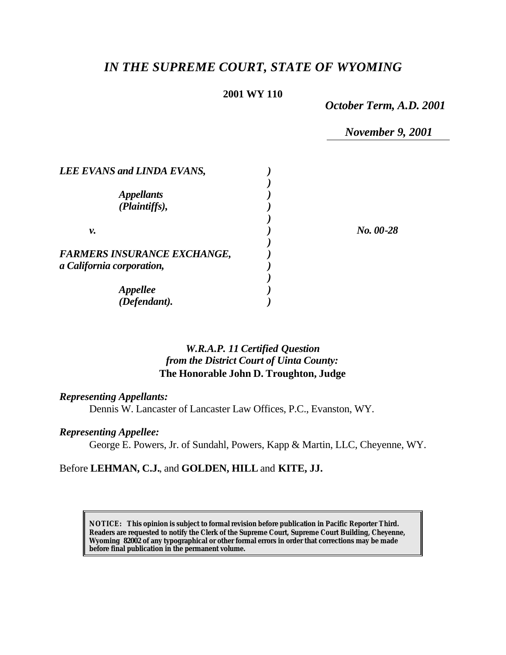# *IN THE SUPREME COURT, STATE OF WYOMING*

#### **2001 WY 110**

*October Term, A.D. 2001*

*November 9, 2001*

| LEE EVANS and LINDA EVANS,                                      |             |
|-----------------------------------------------------------------|-------------|
| <i><b>Appellants</b></i><br>(Plaintiffs),                       |             |
| ν.                                                              | $No. 00-28$ |
| <b>FARMERS INSURANCE EXCHANGE,</b><br>a California corporation, |             |
| Appellee<br>(Defendant).                                        |             |

## *W.R.A.P. 11 Certified Question from the District Court of Uinta County:* **The Honorable John D. Troughton, Judge**

#### *Representing Appellants:*

Dennis W. Lancaster of Lancaster Law Offices, P.C., Evanston, WY.

## *Representing Appellee:*

George E. Powers, Jr. of Sundahl, Powers, Kapp & Martin, LLC, Cheyenne, WY.

## Before **LEHMAN, C.J.**, and **GOLDEN, HILL** and **KITE, JJ.**

**NOTICE:** *This opinion is subject to formal revision before publication in Pacific Reporter Third. Readers are requested to notify the Clerk of the Supreme Court, Supreme Court Building, Cheyenne, Wyoming 82002 of any typographical or other formal errors in order that corrections may be made before final publication in the permanent volume.*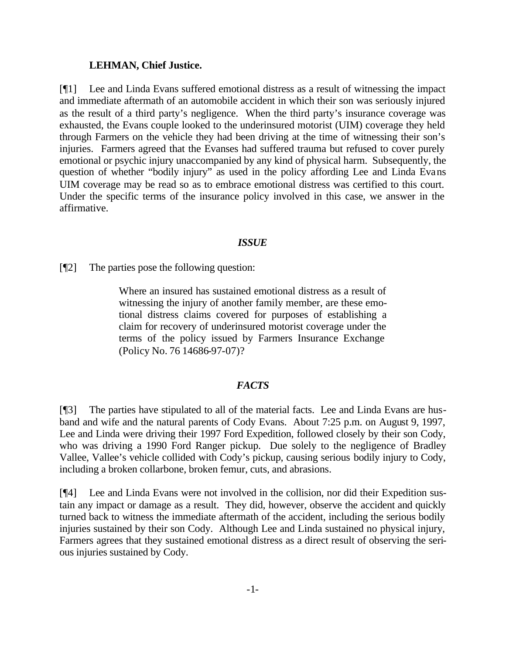#### **LEHMAN, Chief Justice.**

[¶1] Lee and Linda Evans suffered emotional distress as a result of witnessing the impact and immediate aftermath of an automobile accident in which their son was seriously injured as the result of a third party's negligence. When the third party's insurance coverage was exhausted, the Evans couple looked to the underinsured motorist (UIM) coverage they held through Farmers on the vehicle they had been driving at the time of witnessing their son's injuries. Farmers agreed that the Evanses had suffered trauma but refused to cover purely emotional or psychic injury unaccompanied by any kind of physical harm. Subsequently, the question of whether "bodily injury" as used in the policy affording Lee and Linda Evans UIM coverage may be read so as to embrace emotional distress was certified to this court. Under the specific terms of the insurance policy involved in this case, we answer in the affirmative.

### *ISSUE*

[¶2] The parties pose the following question:

Where an insured has sustained emotional distress as a result of witnessing the injury of another family member, are these emotional distress claims covered for purposes of establishing a claim for recovery of underinsured motorist coverage under the terms of the policy issued by Farmers Insurance Exchange (Policy No. 76 14686-97-07)?

### *FACTS*

[¶3] The parties have stipulated to all of the material facts. Lee and Linda Evans are husband and wife and the natural parents of Cody Evans. About 7:25 p.m. on August 9, 1997, Lee and Linda were driving their 1997 Ford Expedition, followed closely by their son Cody, who was driving a 1990 Ford Ranger pickup. Due solely to the negligence of Bradley Vallee, Vallee's vehicle collided with Cody's pickup, causing serious bodily injury to Cody, including a broken collarbone, broken femur, cuts, and abrasions.

[¶4] Lee and Linda Evans were not involved in the collision, nor did their Expedition sustain any impact or damage as a result. They did, however, observe the accident and quickly turned back to witness the immediate aftermath of the accident, including the serious bodily injuries sustained by their son Cody. Although Lee and Linda sustained no physical injury, Farmers agrees that they sustained emotional distress as a direct result of observing the serious injuries sustained by Cody.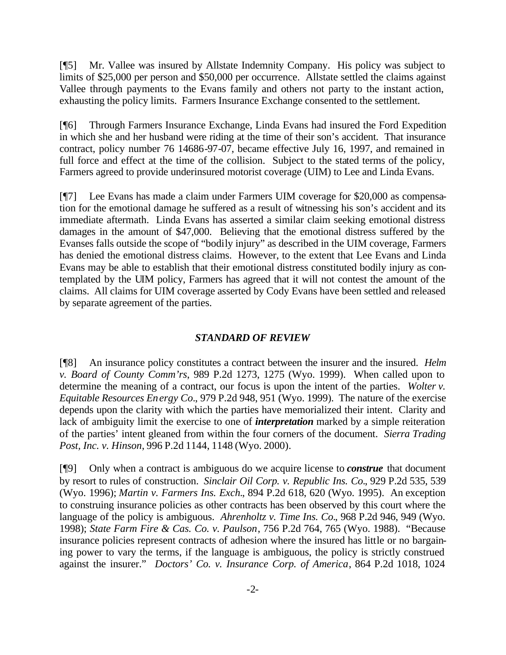[¶5] Mr. Vallee was insured by Allstate Indemnity Company. His policy was subject to limits of \$25,000 per person and \$50,000 per occurrence. Allstate settled the claims against Vallee through payments to the Evans family and others not party to the instant action, exhausting the policy limits. Farmers Insurance Exchange consented to the settlement.

[¶6] Through Farmers Insurance Exchange, Linda Evans had insured the Ford Expedition in which she and her husband were riding at the time of their son's accident. That insurance contract, policy number 76 14686-97-07, became effective July 16, 1997, and remained in full force and effect at the time of the collision. Subject to the stated terms of the policy, Farmers agreed to provide underinsured motorist coverage (UIM) to Lee and Linda Evans.

[¶7] Lee Evans has made a claim under Farmers UIM coverage for \$20,000 as compensation for the emotional damage he suffered as a result of witnessing his son's accident and its immediate aftermath. Linda Evans has asserted a similar claim seeking emotional distress damages in the amount of \$47,000. Believing that the emotional distress suffered by the Evanses falls outside the scope of "bodily injury" as described in the UIM coverage, Farmers has denied the emotional distress claims. However, to the extent that Lee Evans and Linda Evans may be able to establish that their emotional distress constituted bodily injury as contemplated by the UIM policy, Farmers has agreed that it will not contest the amount of the claims. All claims for UIM coverage asserted by Cody Evans have been settled and released by separate agreement of the parties.

#### *STANDARD OF REVIEW*

[¶8] An insurance policy constitutes a contract between the insurer and the insured. *Helm v. Board of County Comm'rs*, 989 P.2d 1273, 1275 (Wyo. 1999). When called upon to determine the meaning of a contract, our focus is upon the intent of the parties. *Wolter v. Equitable Resources Energy Co.*, 979 P.2d 948, 951 (Wyo. 1999). The nature of the exercise depends upon the clarity with which the parties have memorialized their intent. Clarity and lack of ambiguity limit the exercise to one of *interpretation* marked by a simple reiteration of the parties' intent gleaned from within the four corners of the document. *Sierra Trading Post, Inc. v. Hinson*, 996 P.2d 1144, 1148 (Wyo. 2000).

[¶9] Only when a contract is ambiguous do we acquire license to *construe* that document by resort to rules of construction. *Sinclair Oil Corp. v. Republic Ins. Co.*, 929 P.2d 535, 539 (Wyo. 1996); *Martin v. Farmers Ins. Exch.*, 894 P.2d 618, 620 (Wyo. 1995). An exception to construing insurance policies as other contracts has been observed by this court where the language of the policy is ambiguous. *Ahrenholtz v. Time Ins. Co.*, 968 P.2d 946, 949 (Wyo. 1998); *State Farm Fire & Cas. Co. v. Paulson*, 756 P.2d 764, 765 (Wyo. 1988). "Because insurance policies represent contracts of adhesion where the insured has little or no bargaining power to vary the terms, if the language is ambiguous, the policy is strictly construed against the insurer." *Doctors' Co. v. Insurance Corp. of America*, 864 P.2d 1018, 1024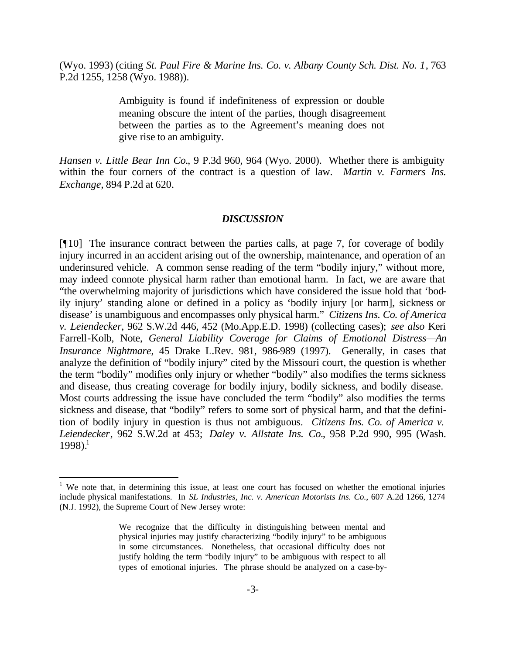(Wyo. 1993) (citing *St. Paul Fire & Marine Ins. Co. v. Albany County Sch. Dist. No. 1*, 763 P.2d 1255, 1258 (Wyo. 1988)).

> Ambiguity is found if indefiniteness of expression or double meaning obscure the intent of the parties, though disagreement between the parties as to the Agreement's meaning does not give rise to an ambiguity.

*Hansen v. Little Bear Inn Co.*, 9 P.3d 960, 964 (Wyo. 2000). Whether there is ambiguity within the four corners of the contract is a question of law. *Martin v. Farmers Ins. Exchange*, 894 P.2d at 620.

#### *DISCUSSION*

[¶10] The insurance contract between the parties calls, at page 7, for coverage of bodily injury incurred in an accident arising out of the ownership, maintenance, and operation of an underinsured vehicle. A common sense reading of the term "bodily injury," without more, may indeed connote physical harm rather than emotional harm. In fact, we are aware that "the overwhelming majority of jurisdictions which have considered the issue hold that 'bodily injury' standing alone or defined in a policy as 'bodily injury [or harm], sickness or disease' is unambiguous and encompasses only physical harm." *Citizens Ins. Co. of America v. Leiendecker*, 962 S.W.2d 446, 452 (Mo.App.E.D. 1998) (collecting cases); *see also* Keri Farrell-Kolb, Note, *General Liability Coverage for Claims of Emotional Distress—An Insurance Nightmare*, 45 Drake L.Rev. 981, 986-989 (1997). Generally, in cases that analyze the definition of "bodily injury" cited by the Missouri court, the question is whether the term "bodily" modifies only injury or whether "bodily" also modifies the terms sickness and disease, thus creating coverage for bodily injury, bodily sickness, and bodily disease. Most courts addressing the issue have concluded the term "bodily" also modifies the terms sickness and disease, that "bodily" refers to some sort of physical harm, and that the definition of bodily injury in question is thus not ambiguous. *Citizens Ins. Co. of America v. Leiendecker*, 962 S.W.2d at 453; *Daley v. Allstate Ins. Co.*, 958 P.2d 990, 995 (Wash. 1998).<sup>1</sup>

l

<sup>&</sup>lt;sup>1</sup> We note that, in determining this issue, at least one court has focused on whether the emotional injuries include physical manifestations. In *SL Industries, Inc. v. American Motorists Ins. Co.*, 607 A.2d 1266, 1274 (N.J. 1992), the Supreme Court of New Jersey wrote:

We recognize that the difficulty in distinguishing between mental and physical injuries may justify characterizing "bodily injury" to be ambiguous in some circumstances. Nonetheless, that occasional difficulty does not justify holding the term "bodily injury" to be ambiguous with respect to all types of emotional injuries. The phrase should be analyzed on a case-by-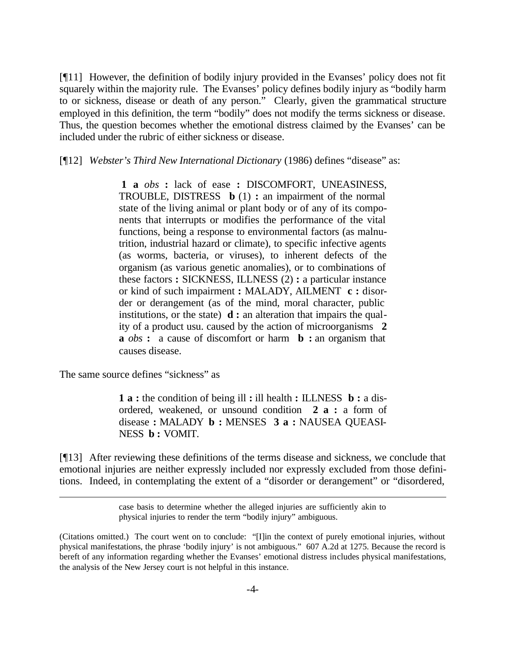[¶11] However, the definition of bodily injury provided in the Evanses' policy does not fit squarely within the majority rule. The Evanses' policy defines bodily injury as "bodily harm to or sickness, disease or death of any person." Clearly, given the grammatical structure employed in this definition, the term "bodily" does not modify the terms sickness or disease. Thus, the question becomes whether the emotional distress claimed by the Evanses' can be included under the rubric of either sickness or disease.

[¶12] *Webster's Third New International Dictionary* (1986) defines "disease" as:

**1 a** *obs* **:** lack of ease **:** DISCOMFORT, UNEASINESS, TROUBLE, DISTRESS **b** (1) **:** an impairment of the normal state of the living animal or plant body or of any of its components that interrupts or modifies the performance of the vital functions, being a response to environmental factors (as malnutrition, industrial hazard or climate), to specific infective agents (as worms, bacteria, or viruses), to inherent defects of the organism (as various genetic anomalies), or to combinations of these factors **:** SICKNESS, ILLNESS (2) **:** a particular instance or kind of such impairment **:** MALADY, AILMENT **c :** disorder or derangement (as of the mind, moral character, public institutions, or the state) **d :** an alteration that impairs the quality of a product usu. caused by the action of microorganisms **2 a** *obs* **:** a cause of discomfort or harm **b :** an organism that causes disease.

The same source defines "sickness" as

l

**1 a :** the condition of being ill **:** ill health **:** ILLNESS **b :** a disordered, weakened, or unsound condition **2 a :** a form of disease **:** MALADY **b :** MENSES **3 a :** NAUSEA QUEASI-NESS **b :** VOMIT.

[¶13] After reviewing these definitions of the terms disease and sickness, we conclude that emotional injuries are neither expressly included nor expressly excluded from those definitions. Indeed, in contemplating the extent of a "disorder or derangement" or "disordered,

case basis to determine whether the alleged injuries are sufficiently akin to physical injuries to render the term "bodily injury" ambiguous.

<sup>(</sup>Citations omitted.) The court went on to conclude: "[I]in the context of purely emotional injuries, without physical manifestations, the phrase 'bodily injury' is not ambiguous." 607 A.2d at 1275. Because the record is bereft of any information regarding whether the Evanses' emotional distress includes physical manifestations, the analysis of the New Jersey court is not helpful in this instance.